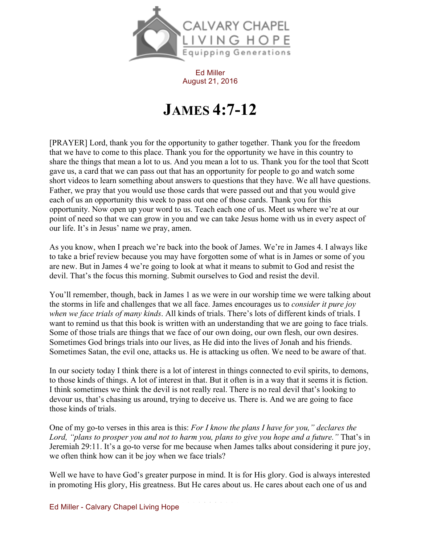

Ed Miller August 21, 2016

## **JAMES 4:7-12**

[PRAYER] Lord, thank you for the opportunity to gather together. Thank you for the freedom that we have to come to this place. Thank you for the opportunity we have in this country to share the things that mean a lot to us. And you mean a lot to us. Thank you for the tool that Scott gave us, a card that we can pass out that has an opportunity for people to go and watch some short videos to learn something about answers to questions that they have. We all have questions. Father, we pray that you would use those cards that were passed out and that you would give each of us an opportunity this week to pass out one of those cards. Thank you for this opportunity. Now open up your word to us. Teach each one of us. Meet us where we're at our point of need so that we can grow in you and we can take Jesus home with us in every aspect of our life. It's in Jesus' name we pray, amen.

As you know, when I preach we're back into the book of James. We're in James 4. I always like to take a brief review because you may have forgotten some of what is in James or some of you are new. But in James 4 we're going to look at what it means to submit to God and resist the devil. That's the focus this morning. Submit ourselves to God and resist the devil.

You'll remember, though, back in James 1 as we were in our worship time we were talking about the storms in life and challenges that we all face. James encourages us to *consider it pure joy when we face trials of many kinds*. All kinds of trials. There's lots of different kinds of trials. I want to remind us that this book is written with an understanding that we are going to face trials. Some of those trials are things that we face of our own doing, our own flesh, our own desires. Sometimes God brings trials into our lives, as He did into the lives of Jonah and his friends. Sometimes Satan, the evil one, attacks us. He is attacking us often. We need to be aware of that.

In our society today I think there is a lot of interest in things connected to evil spirits, to demons, to those kinds of things. A lot of interest in that. But it often is in a way that it seems it is fiction. I think sometimes we think the devil is not really real. There is no real devil that's looking to devour us, that's chasing us around, trying to deceive us. There is. And we are going to face those kinds of trials.

One of my go-to verses in this area is this: *For I know the plans I have for you," declares the Lord, "plans to prosper you and not to harm you, plans to give you hope and a future."* That's in Jeremiah 29:11. It's a go-to verse for me because when James talks about considering it pure joy, we often think how can it be joy when we face trials?

Well we have to have God's greater purpose in mind. It is for His glory. God is always interested in promoting His glory, His greatness. But He cares about us. He cares about each one of us and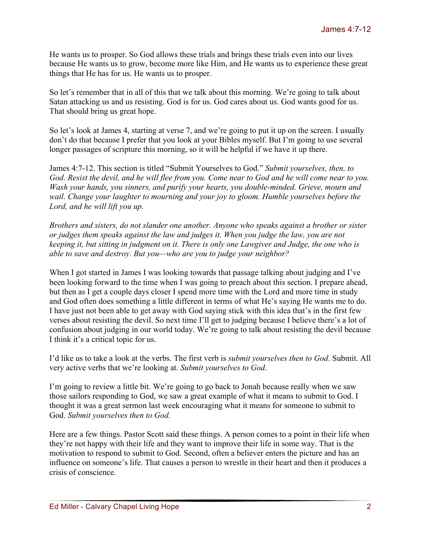He wants us to prosper. So God allows these trials and brings these trials even into our lives because He wants us to grow, become more like Him, and He wants us to experience these great things that He has for us. He wants us to prosper.

So let's remember that in all of this that we talk about this morning. We're going to talk about Satan attacking us and us resisting. God is for us. God cares about us. God wants good for us. That should bring us great hope.

So let's look at James 4, starting at verse 7, and we're going to put it up on the screen. I usually don't do that because I prefer that you look at your Bibles myself. But I'm going to use several longer passages of scripture this morning, so it will be helpful if we have it up there.

James 4:7-12. This section is titled "Submit Yourselves to God." *Submit yourselves, then, to God. Resist the devil, and he will flee from you. Come near to God and he will come near to you. Wash your hands, you sinners, and purify your hearts, you double-minded. Grieve, mourn and wail. Change your laughter to mourning and your joy to gloom. Humble yourselves before the Lord, and he will lift you up.*

*Brothers and sisters, do not slander one another. Anyone who speaks against a brother or sister or judges them speaks against the law and judges it. When you judge the law, you are not keeping it, but sitting in judgment on it. There is only one Lawgiver and Judge, the one who is able to save and destroy. But you—who are you to judge your neighbor?*

When I got started in James I was looking towards that passage talking about judging and I've been looking forward to the time when I was going to preach about this section. I prepare ahead, but then as I get a couple days closer I spend more time with the Lord and more time in study and God often does something a little different in terms of what He's saying He wants me to do. I have just not been able to get away with God saying stick with this idea that's in the first few verses about resisting the devil. So next time I'll get to judging because I believe there's a lot of confusion about judging in our world today. We're going to talk about resisting the devil because I think it's a critical topic for us.

I'd like us to take a look at the verbs. The first verb is *submit yourselves then to God*. Submit. All very active verbs that we're looking at. *Submit yourselves to God*.

I'm going to review a little bit. We're going to go back to Jonah because really when we saw those sailors responding to God, we saw a great example of what it means to submit to God. I thought it was a great sermon last week encouraging what it means for someone to submit to God. *Submit yourselves then to God.*

Here are a few things. Pastor Scott said these things. A person comes to a point in their life when they're not happy with their life and they want to improve their life in some way. That is the motivation to respond to submit to God. Second, often a believer enters the picture and has an influence on someone's life. That causes a person to wrestle in their heart and then it produces a crisis of conscience.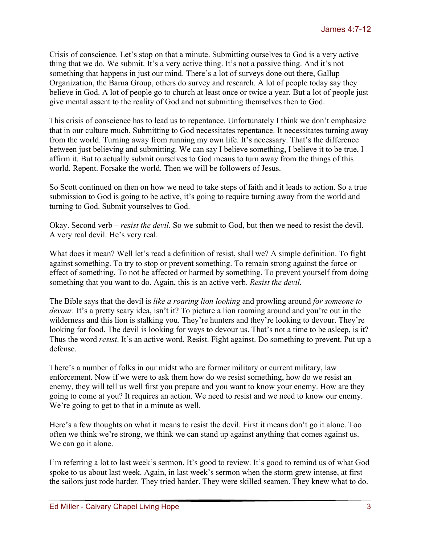Crisis of conscience. Let's stop on that a minute. Submitting ourselves to God is a very active thing that we do. We submit. It's a very active thing. It's not a passive thing. And it's not something that happens in just our mind. There's a lot of surveys done out there, Gallup Organization, the Barna Group, others do survey and research. A lot of people today say they believe in God. A lot of people go to church at least once or twice a year. But a lot of people just give mental assent to the reality of God and not submitting themselves then to God.

This crisis of conscience has to lead us to repentance. Unfortunately I think we don't emphasize that in our culture much. Submitting to God necessitates repentance. It necessitates turning away from the world. Turning away from running my own life. It's necessary. That's the difference between just believing and submitting. We can say I believe something, I believe it to be true, I affirm it. But to actually submit ourselves to God means to turn away from the things of this world. Repent. Forsake the world. Then we will be followers of Jesus.

So Scott continued on then on how we need to take steps of faith and it leads to action. So a true submission to God is going to be active, it's going to require turning away from the world and turning to God. Submit yourselves to God.

Okay. Second verb – *resist the devil*. So we submit to God, but then we need to resist the devil. A very real devil. He's very real.

What does it mean? Well let's read a definition of resist, shall we? A simple definition. To fight against something. To try to stop or prevent something. To remain strong against the force or effect of something. To not be affected or harmed by something. To prevent yourself from doing something that you want to do. Again, this is an active verb. *Resist the devil.*

The Bible says that the devil is *like a roaring lion looking* and prowling around *for someone to devour.* It's a pretty scary idea, isn't it? To picture a lion roaming around and you're out in the wilderness and this lion is stalking you. They're hunters and they're looking to devour. They're looking for food. The devil is looking for ways to devour us. That's not a time to be asleep, is it? Thus the word *resist*. It's an active word. Resist. Fight against. Do something to prevent. Put up a defense.

There's a number of folks in our midst who are former military or current military, law enforcement. Now if we were to ask them how do we resist something, how do we resist an enemy, they will tell us well first you prepare and you want to know your enemy. How are they going to come at you? It requires an action. We need to resist and we need to know our enemy. We're going to get to that in a minute as well.

Here's a few thoughts on what it means to resist the devil. First it means don't go it alone. Too often we think we're strong, we think we can stand up against anything that comes against us. We can go it alone.

I'm referring a lot to last week's sermon. It's good to review. It's good to remind us of what God spoke to us about last week. Again, in last week's sermon when the storm grew intense, at first the sailors just rode harder. They tried harder. They were skilled seamen. They knew what to do.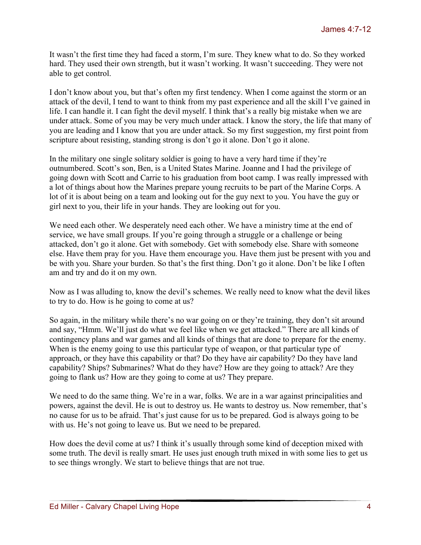It wasn't the first time they had faced a storm, I'm sure. They knew what to do. So they worked hard. They used their own strength, but it wasn't working. It wasn't succeeding. They were not able to get control.

I don't know about you, but that's often my first tendency. When I come against the storm or an attack of the devil, I tend to want to think from my past experience and all the skill I've gained in life. I can handle it. I can fight the devil myself. I think that's a really big mistake when we are under attack. Some of you may be very much under attack. I know the story, the life that many of you are leading and I know that you are under attack. So my first suggestion, my first point from scripture about resisting, standing strong is don't go it alone. Don't go it alone.

In the military one single solitary soldier is going to have a very hard time if they're outnumbered. Scott's son, Ben, is a United States Marine. Joanne and I had the privilege of going down with Scott and Carrie to his graduation from boot camp. I was really impressed with a lot of things about how the Marines prepare young recruits to be part of the Marine Corps. A lot of it is about being on a team and looking out for the guy next to you. You have the guy or girl next to you, their life in your hands. They are looking out for you.

We need each other. We desperately need each other. We have a ministry time at the end of service, we have small groups. If you're going through a struggle or a challenge or being attacked, don't go it alone. Get with somebody. Get with somebody else. Share with someone else. Have them pray for you. Have them encourage you. Have them just be present with you and be with you. Share your burden. So that's the first thing. Don't go it alone. Don't be like I often am and try and do it on my own.

Now as I was alluding to, know the devil's schemes. We really need to know what the devil likes to try to do. How is he going to come at us?

So again, in the military while there's no war going on or they're training, they don't sit around and say, "Hmm. We'll just do what we feel like when we get attacked." There are all kinds of contingency plans and war games and all kinds of things that are done to prepare for the enemy. When is the enemy going to use this particular type of weapon, or that particular type of approach, or they have this capability or that? Do they have air capability? Do they have land capability? Ships? Submarines? What do they have? How are they going to attack? Are they going to flank us? How are they going to come at us? They prepare.

We need to do the same thing. We're in a war, folks. We are in a war against principalities and powers, against the devil. He is out to destroy us. He wants to destroy us. Now remember, that's no cause for us to be afraid. That's just cause for us to be prepared. God is always going to be with us. He's not going to leave us. But we need to be prepared.

How does the devil come at us? I think it's usually through some kind of deception mixed with some truth. The devil is really smart. He uses just enough truth mixed in with some lies to get us to see things wrongly. We start to believe things that are not true.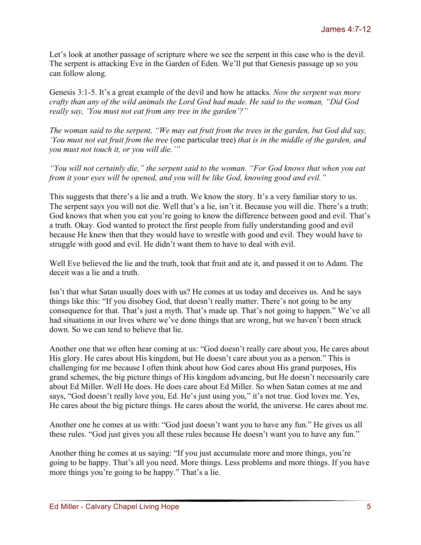Let's look at another passage of scripture where we see the serpent in this case who is the devil. The serpent is attacking Eve in the Garden of Eden. We'll put that Genesis passage up so you can follow along.

Genesis 3:1-5. It's a great example of the devil and how he attacks. *Now the serpent was more crafty than any of the wild animals the Lord God had made. He said to the woman, "Did God really say, 'You must not eat from any tree in the garden'?"*

*The woman said to the serpent, "We may eat fruit from the trees in the garden, but God did say, 'You must not eat fruit from the tree* (one particular tree) *that is in the middle of the garden, and you must not touch it, or you will die.'"*

*"You will not certainly die," the serpent said to the woman. "For God knows that when you eat from it your eyes will be opened, and you will be like God, knowing good and evil."*

This suggests that there's a lie and a truth. We know the story. It's a very familiar story to us. The serpent says you will not die. Well that's a lie, isn't it. Because you will die. There's a truth: God knows that when you eat you're going to know the difference between good and evil. That's a truth. Okay. God wanted to protect the first people from fully understanding good and evil because He knew then that they would have to wrestle with good and evil. They would have to struggle with good and evil. He didn't want them to have to deal with evil.

Well Eve believed the lie and the truth, took that fruit and ate it, and passed it on to Adam. The deceit was a lie and a truth.

Isn't that what Satan usually does with us? He comes at us today and deceives us. And he says things like this: "If you disobey God, that doesn't really matter. There's not going to be any consequence for that. That's just a myth. That's made up. That's not going to happen." We've all had situations in our lives where we've done things that are wrong, but we haven't been struck down. So we can tend to believe that lie.

Another one that we often hear coming at us: "God doesn't really care about you, He cares about His glory. He cares about His kingdom, but He doesn't care about you as a person." This is challenging for me because I often think about how God cares about His grand purposes, His grand schemes, the big picture things of His kingdom advancing, but He doesn't necessarily care about Ed Miller. Well He does. He does care about Ed Miller. So when Satan comes at me and says, "God doesn't really love you, Ed. He's just using you," it's not true. God loves me. Yes, He cares about the big picture things. He cares about the world, the universe. He cares about me.

Another one he comes at us with: "God just doesn't want you to have any fun." He gives us all these rules. "God just gives you all these rules because He doesn't want you to have any fun."

Another thing he comes at us saying: "If you just accumulate more and more things, you're going to be happy. That's all you need. More things. Less problems and more things. If you have more things you're going to be happy." That's a lie.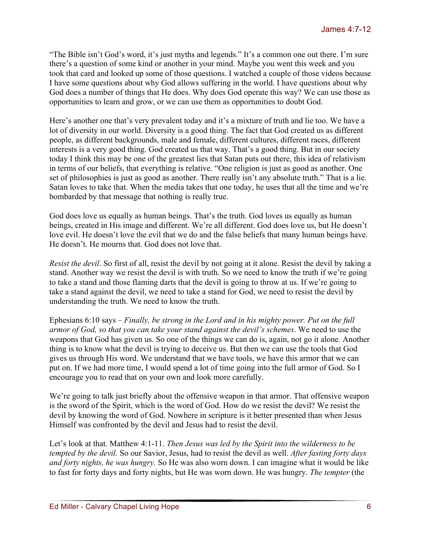"The Bible isn't God's word, it's just myths and legends." It's a common one out there. I'm sure there's a question of some kind or another in your mind. Maybe you went this week and you took that card and looked up some of those questions. I watched a couple of those videos because I have some questions about why God allows suffering in the world. I have questions about why God does a number of things that He does. Why does God operate this way? We can use those as opportunities to learn and grow, or we can use them as opportunities to doubt God.

Here's another one that's very prevalent today and it's a mixture of truth and lie too. We have a lot of diversity in our world. Diversity is a good thing. The fact that God created us as different people, as different backgrounds, male and female, different cultures, different races, different interests is a very good thing. God created us that way. That's a good thing. But in our society today I think this may be one of the greatest lies that Satan puts out there, this idea of relativism in terms of our beliefs, that everything is relative. "One religion is just as good as another. One set of philosophies is just as good as another. There really isn't any absolute truth." That is a lie. Satan loves to take that. When the media takes that one today, he uses that all the time and we're bombarded by that message that nothing is really true.

God does love us equally as human beings. That's the truth. God loves us equally as human beings, created in His image and different. We're all different. God does love us, but He doesn't love evil. He doesn't love the evil that we do and the false beliefs that many human beings have. He doesn't. He mourns that. God does not love that.

*Resist the devil*. So first of all, resist the devil by not going at it alone. Resist the devil by taking a stand. Another way we resist the devil is with truth. So we need to know the truth if we're going to take a stand and those flaming darts that the devil is going to throw at us. If we're going to take a stand against the devil, we need to take a stand for God, we need to resist the devil by understanding the truth. We need to know the truth.

Ephesians 6:10 says – *Finally, be strong in the Lord and in his mighty power. Put on the full armor of God, so that you can take your stand against the devil's schemes*. We need to use the weapons that God has given us. So one of the things we can do is, again, not go it alone. Another thing is to know what the devil is trying to deceive us. But then we can use the tools that God gives us through His word. We understand that we have tools, we have this armor that we can put on. If we had more time, I would spend a lot of time going into the full armor of God. So I encourage you to read that on your own and look more carefully.

We're going to talk just briefly about the offensive weapon in that armor. That offensive weapon is the sword of the Spirit, which is the word of God. How do we resist the devil? We resist the devil by knowing the word of God. Nowhere in scripture is it better presented than when Jesus Himself was confronted by the devil and Jesus had to resist the devil.

Let's look at that. Matthew 4:1-11. *Then Jesus was led by the Spirit into the wilderness to be tempted by the devil.* So our Savior, Jesus, had to resist the devil as well. *After fasting forty days and forty nights, he was hungry.* So He was also worn down. I can imagine what it would be like to fast for forty days and forty nights, but He was worn down. He was hungry. *The tempter* (the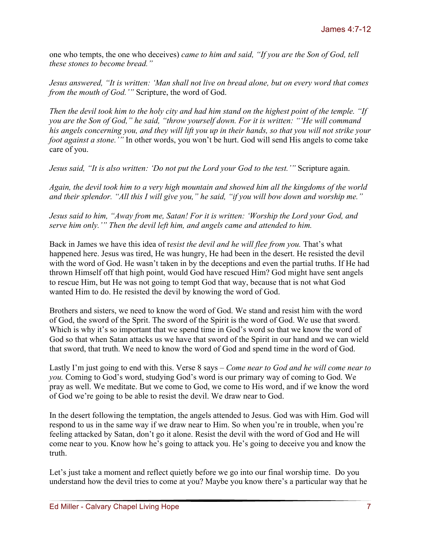one who tempts, the one who deceives) *came to him and said, "If you are the Son of God, tell these stones to become bread."*

*Jesus answered, "It is written: 'Man shall not live on bread alone, but on every word that comes from the mouth of God.'"* Scripture, the word of God.

*Then the devil took him to the holy city and had him stand on the highest point of the temple. "If you are the Son of God," he said, "throw yourself down. For it is written: "'He will command his angels concerning you, and they will lift you up in their hands, so that you will not strike your foot against a stone.'"* In other words, you won't be hurt. God will send His angels to come take care of you.

*Jesus said, "It is also written: 'Do not put the Lord your God to the test.'"* Scripture again.

*Again, the devil took him to a very high mountain and showed him all the kingdoms of the world and their splendor. "All this I will give you," he said, "if you will bow down and worship me."*

*Jesus said to him, "Away from me, Satan! For it is written: 'Worship the Lord your God, and serve him only.'" Then the devil left him, and angels came and attended to him.*

Back in James we have this idea of r*esist the devil and he will flee from you.* That's what happened here. Jesus was tired, He was hungry, He had been in the desert. He resisted the devil with the word of God. He wasn't taken in by the deceptions and even the partial truths. If He had thrown Himself off that high point, would God have rescued Him? God might have sent angels to rescue Him, but He was not going to tempt God that way, because that is not what God wanted Him to do. He resisted the devil by knowing the word of God.

Brothers and sisters, we need to know the word of God. We stand and resist him with the word of God, the sword of the Sprit. The sword of the Spirit is the word of God. We use that sword. Which is why it's so important that we spend time in God's word so that we know the word of God so that when Satan attacks us we have that sword of the Spirit in our hand and we can wield that sword, that truth. We need to know the word of God and spend time in the word of God.

Lastly I'm just going to end with this. Verse 8 says – *Come near to God and he will come near to you.* Coming to God's word, studying God's word is our primary way of coming to God. We pray as well. We meditate. But we come to God, we come to His word, and if we know the word of God we're going to be able to resist the devil. We draw near to God.

In the desert following the temptation, the angels attended to Jesus. God was with Him. God will respond to us in the same way if we draw near to Him. So when you're in trouble, when you're feeling attacked by Satan, don't go it alone. Resist the devil with the word of God and He will come near to you. Know how he's going to attack you. He's going to deceive you and know the truth.

Let's just take a moment and reflect quietly before we go into our final worship time. Do you understand how the devil tries to come at you? Maybe you know there's a particular way that he